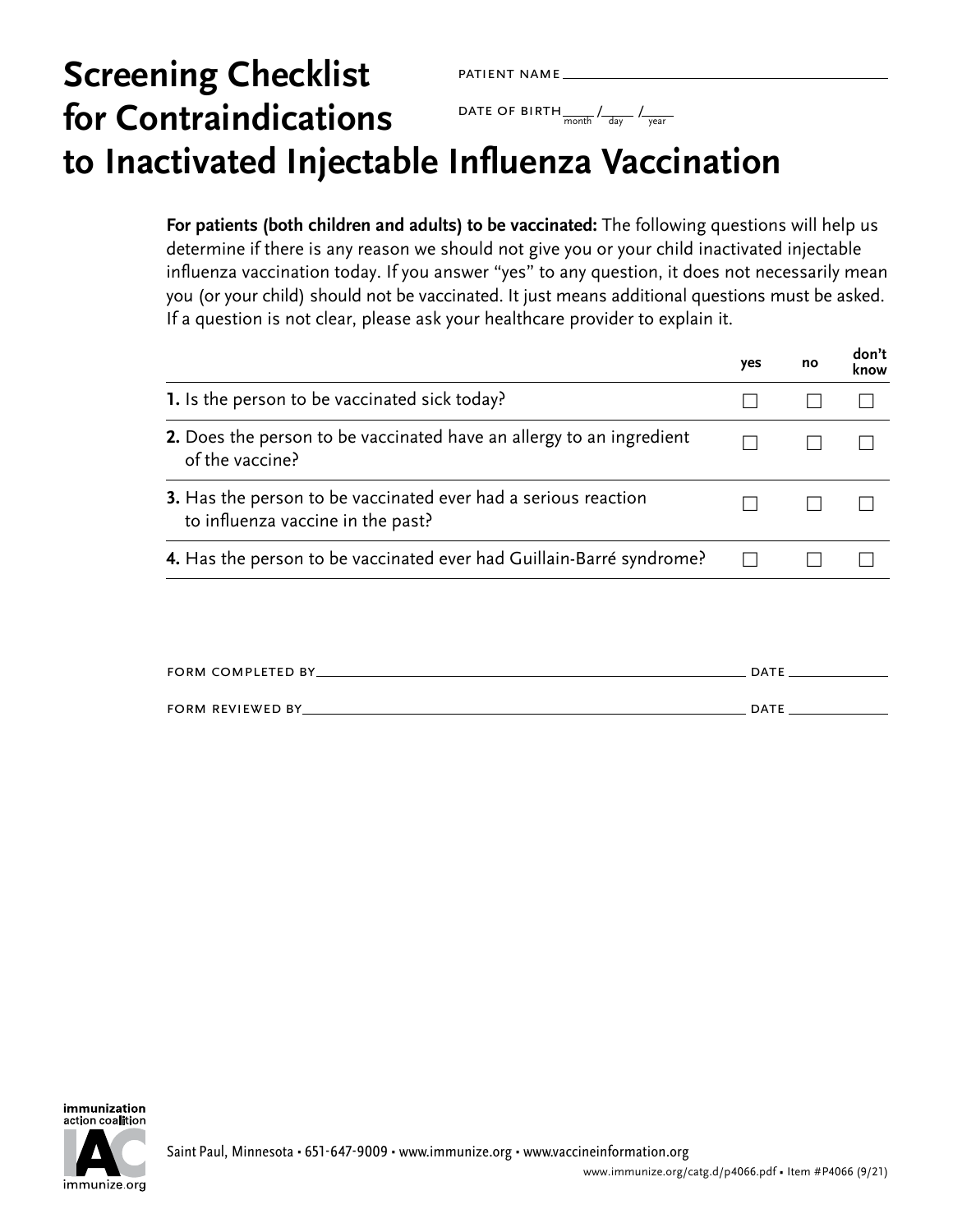## patient name DATE OF BIRTH  $\frac{1}{\text{month}}$  /  $\frac{1}{\text{day}}$  /  $\frac{1}{\text{year}}$ **Screening Checklist for Contraindications to Inactivated Injectable Influenza Vaccination**

**For patients (both children and adults) to be vaccinated:** The following questions will help us determine if there is any reason we should not give you or your child inactivated injectable influenza vaccination today. If you answer "yes" to any question, it does not necessarily mean you (or your child) should not be vaccinated. It just means additional questions must be asked. If a question is not clear, please ask your healthcare provider to explain it.

|                                                                                                            | yes | no | don't<br>know |
|------------------------------------------------------------------------------------------------------------|-----|----|---------------|
| 1. Is the person to be vaccinated sick today?                                                              |     |    |               |
| 2. Does the person to be vaccinated have an allergy to an ingredient<br>of the vaccine?                    |     |    |               |
| <b>3.</b> Has the person to be vaccinated ever had a serious reaction<br>to influenza vaccine in the past? |     |    |               |
| 4. Has the person to be vaccinated ever had Guillain-Barré syndrome?                                       |     |    |               |
|                                                                                                            |     |    |               |

| <b>FORM COMPLETED BY</b> | <b>DATE</b> |
|--------------------------|-------------|
|                          |             |
| <b>FORM REVIEWED BY_</b> | <b>DATE</b> |

immunization action coalition



Saint Paul, Minnesota • 651-647-9009 • [www.immunize.org](http://www.immunize.org) • [www.vaccineinformation.org](http://www.vaccineinformation.org)